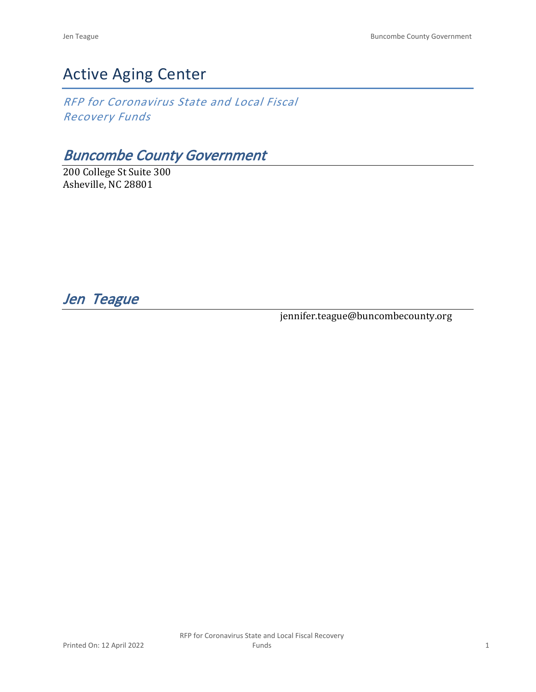# Active Aging Center

*RFP for Coronavirus State and Local Fiscal Recovery Funds*

## *Buncombe County Government*

200 College St Suite 300 Asheville, NC 28801

*Jen Teague* 

jennifer.teague@buncombecounty.org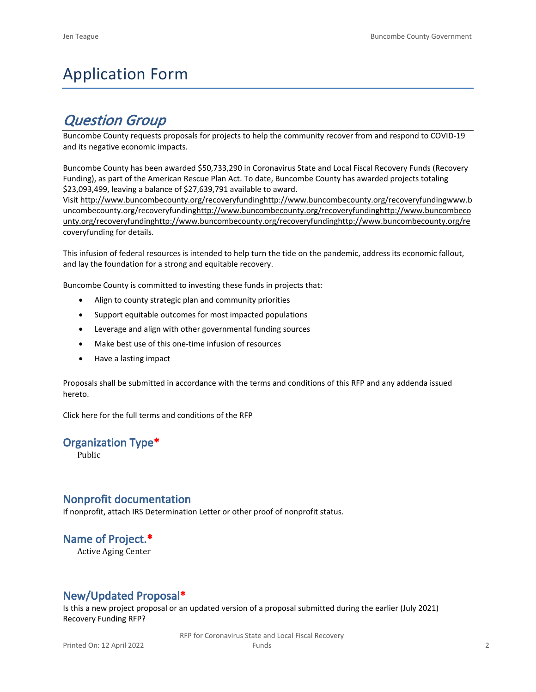# Application Form

## *Question Group*

Buncombe County requests proposals for projects to help the community recover from and respond to COVID-19 and its negative economic impacts.

Buncombe County has been awarded \$50,733,290 in Coronavirus State and Local Fiscal Recovery Funds (Recovery Funding), as part of the American Rescue Plan Act. To date, Buncombe County has awarded projects totaling \$23,093,499, leaving a balance of \$27,639,791 available to award.

Visit [http://www.buncombecounty.org/recoveryfundinghttp://www.buncombecounty.org/recoveryfundingwww.b](http://www.buncombecounty.org/recoveryfunding) [uncombecounty.org/recoveryfundinghttp://www.buncombecounty.org/recoveryfundinghttp://www.buncombeco](http://www.buncombecounty.org/recoveryfunding) [unty.org/recoveryfundinghttp://www.buncombecounty.org/recoveryfundinghttp://www.buncombecounty.org/re](http://www.buncombecounty.org/recoveryfunding) [coveryfunding](http://www.buncombecounty.org/recoveryfunding) for details.

This infusion of federal resources is intended to help turn the tide on the pandemic, address its economic fallout, and lay the foundation for a strong and equitable recovery.

Buncombe County is committed to investing these funds in projects that:

- Align to county strategic plan and community priorities
- Support equitable outcomes for most impacted populations
- Leverage and align with other governmental funding sources
- Make best use of this one-time infusion of resources
- Have a lasting impact

Proposals shall be submitted in accordance with the terms and conditions of this RFP and any addenda issued hereto.

Click [here](https://www.buncombecounty.org/common/purchasing/Buncombe%20Recovery%20Funding%20RFP%202022.pdf) for the full terms and conditions of the RFP

#### **Organization Type\***

Public

#### **Nonprofit documentation**

If nonprofit, attach IRS Determination Letter or other proof of nonprofit status.

## **Name of Project.\***

Active Aging Center

### **New/Updated Proposal\***

Is this a new project proposal or an updated version of a proposal submitted during the earlier (July 2021) Recovery Funding RFP?

> RFP for Coronavirus State and Local Fiscal Recovery Funds 2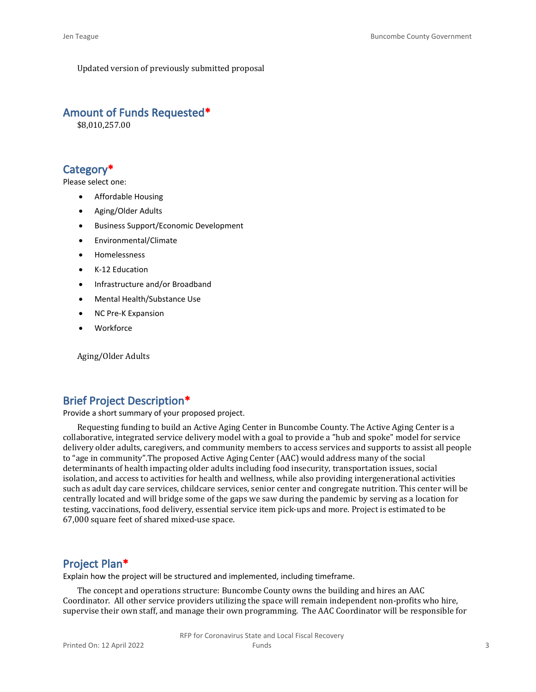Updated version of previously submitted proposal

#### **Amount of Funds Requested\***

\$8,010,257.00

#### **Category\***

Please select one:

- Affordable Housing
- Aging/Older Adults
- Business Support/Economic Development
- Environmental/Climate
- Homelessness
- K-12 Education
- Infrastructure and/or Broadband
- Mental Health/Substance Use
- NC Pre-K Expansion
- **Workforce**

Aging/Older Adults

#### **Brief Project Description\***

Provide a short summary of your proposed project.

Requesting funding to build an Active Aging Center in Buncombe County. The Active Aging Center is a collaborative, integrated service delivery model with a goal to provide a "hub and spoke" model for service delivery older adults, caregivers, and community members to access services and supports to assist all people to "age in community".The proposed Active Aging Center (AAC) would address many of the social determinants of health impacting older adults including food insecurity, transportation issues, social isolation, and access to activities for health and wellness, while also providing intergenerational activities such as adult day care services, childcare services, senior center and congregate nutrition. This center will be centrally located and will bridge some of the gaps we saw during the pandemic by serving as a location for testing, vaccinations, food delivery, essential service item pick-ups and more. Project is estimated to be 67,000 square feet of shared mixed-use space.

#### **Project Plan\***

Explain how the project will be structured and implemented, including timeframe.

The concept and operations structure: Buncombe County owns the building and hires an AAC Coordinator. All other service providers utilizing the space will remain independent non-profits who hire, supervise their own staff, and manage their own programming. The AAC Coordinator will be responsible for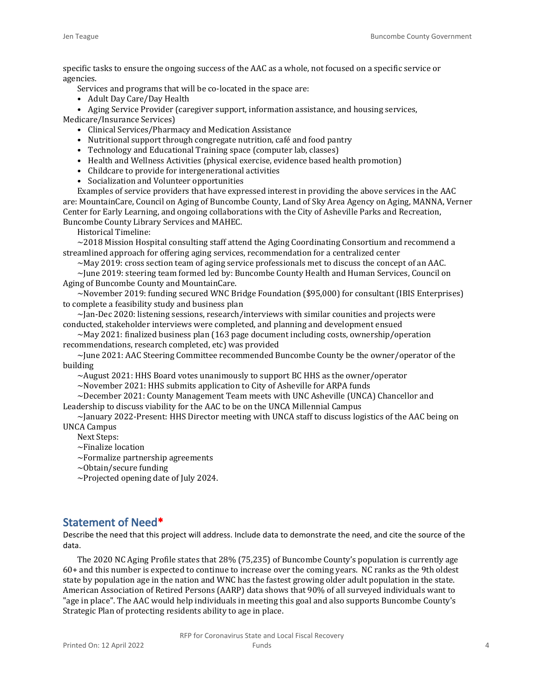specific tasks to ensure the ongoing success of the AAC as a whole, not focused on a specific service or agencies.

Services and programs that will be co-located in the space are:

- Adult Day Care/Day Health
- Aging Service Provider (caregiver support, information assistance, and housing services,

Medicare/Insurance Services)

- Clinical Services/Pharmacy and Medication Assistance
- Nutritional support through congregate nutrition, café and food pantry
- Technology and Educational Training space (computer lab, classes)
- Health and Wellness Activities (physical exercise, evidence based health promotion)
- Childcare to provide for intergenerational activities
- Socialization and Volunteer opportunities

Examples of service providers that have expressed interest in providing the above services in the AAC are: MountainCare, Council on Aging of Buncombe County, Land of Sky Area Agency on Aging, MANNA, Verner Center for Early Learning, and ongoing collaborations with the City of Asheville Parks and Recreation, Buncombe County Library Services and MAHEC.

Historical Timeline:

 $\sim$  2018 Mission Hospital consulting staff attend the Aging Coordinating Consortium and recommend a streamlined approach for offering aging services, recommendation for a centralized center

 $\sim$ May 2019: cross section team of aging service professionals met to discuss the concept of an AAC.

 $\sim$ June 2019: steering team formed led by: Buncombe County Health and Human Services, Council on Aging of Buncombe County and MountainCare.

~November 2019: funding secured WNC Bridge Foundation (\$95,000) for consultant (IBIS Enterprises) to complete a feasibility study and business plan

 $\sim$ Jan-Dec 2020: listening sessions, research/interviews with similar counities and projects were conducted, stakeholder interviews were completed, and planning and development ensued

 $\sim$ May 2021: finalized business plan (163 page document including costs, ownership/operation recommendations, research completed, etc) was provided

~June 2021: AAC Steering Committee recommended Buncombe County be the owner/operator of the building

 $\sim$ August 2021: HHS Board votes unanimously to support BC HHS as the owner/operator

~November 2021: HHS submits application to City of Asheville for ARPA funds

~December 2021: County Management Team meets with UNC Asheville (UNCA) Chancellor and Leadership to discuss viability for the AAC to be on the UNCA Millennial Campus

~January 2022-Present: HHS Director meeting with UNCA staff to discuss logistics of the AAC being on UNCA Campus

Next Steps:

~Finalize location

~Formalize partnership agreements

 $\sim$ Obtain/secure funding

 $\sim$ Projected opening date of July 2024.

### **Statement of Need\***

Describe the need that this project will address. Include data to demonstrate the need, and cite the source of the data.

The 2020 NC Aging Profile states that 28% (75,235) of Buncombe County's population is currently age 60+ and this number is expected to continue to increase over the coming years. NC ranks as the 9th oldest state by population age in the nation and WNC has the fastest growing older adult population in the state. American Association of Retired Persons (AARP) data shows that 90% of all surveyed individuals want to "age in place". The AAC would help individuals in meeting this goal and also supports Buncombe County's Strategic Plan of protecting residents ability to age in place.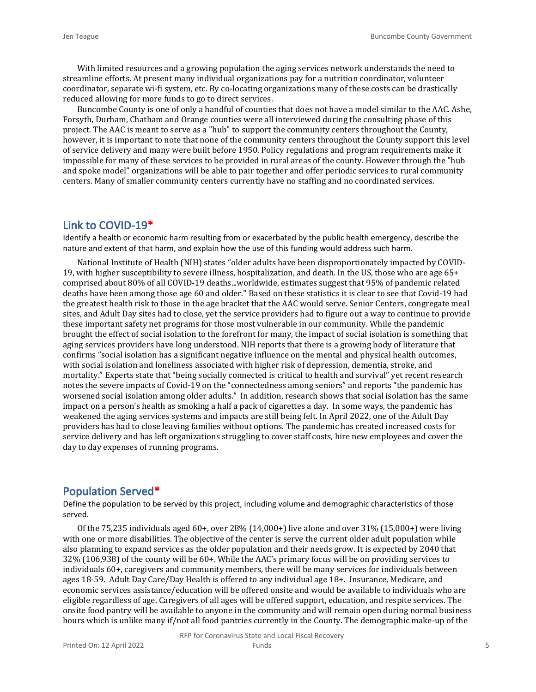With limited resources and a growing population the aging services network understands the need to streamline efforts. At present many individual organizations pay for a nutrition coordinator, volunteer coordinator, separate wi-fi system, etc. By co-locating organizations many of these costs can be drastically reduced allowing for more funds to go to direct services.

Buncombe County is one of only a handful of counties that does not have a model similar to the AAC. Ashe, Forsyth, Durham, Chatham and Orange counties were all interviewed during the consulting phase of this project. The AAC is meant to serve as a "hub" to support the community centers throughout the County, however, it is important to note that none of the community centers throughout the County support this level of service delivery and many were built before 1950. Policy regulations and program requirements make it impossible for many of these services to be provided in rural areas of the county. However through the "hub and spoke model" organizations will be able to pair together and offer periodic services to rural community centers. Many of smaller community centers currently have no staffing and no coordinated services.

#### **Link to COVID-19\***

Identify a health or economic harm resulting from or exacerbated by the public health emergency, describe the nature and extent of that harm, and explain how the use of this funding would address such harm.

National Institute of Health (NIH) states "older adults have been disproportionately impacted by COVID-19, with higher susceptibility to severe illness, hospitalization, and death. In the US, those who are age 65+ comprised about 80% of all COVID-19 deaths...worldwide, estimates suggest that 95% of pandemic related deaths have been among those age 60 and older." Based on these statistics it is clear to see that Covid-19 had the greatest health risk to those in the age bracket that the AAC would serve. Senior Centers, congregate meal sites, and Adult Day sites had to close, yet the service providers had to figure out a way to continue to provide these important safety net programs for those most vulnerable in our community. While the pandemic brought the effect of social isolation to the forefront for many, the impact of social isolation is something that aging services providers have long understood. NIH reports that there is a growing body of literature that confirms "social isolation has a significant negative influence on the mental and physical health outcomes, with social isolation and loneliness associated with higher risk of depression, dementia, stroke, and mortality." Experts state that "being socially connected is critical to health and survival" yet recent research notes the severe impacts of Covid-19 on the "connectedness among seniors" and reports "the pandemic has worsened social isolation among older adults." In addition, research shows that social isolation has the same impact on a person's health as smoking a half a pack of cigarettes a day. In some ways, the pandemic has weakened the aging services systems and impacts are still being felt. In April 2022, one of the Adult Day providers has had to close leaving families without options. The pandemic has created increased costs for service delivery and has left organizations struggling to cover staff costs, hire new employees and cover the day to day expenses of running programs.

#### **Population Served\***

Define the population to be served by this project, including volume and demographic characteristics of those served.

Of the 75,235 individuals aged 60+, over 28% (14,000+) live alone and over 31% (15,000+) were living with one or more disabilities. The objective of the center is serve the current older adult population while also planning to expand services as the older population and their needs grow. It is expected by 2040 that 32% (106,938) of the county will be 60+. While the AAC's primary focus will be on providing services to individuals 60+, caregivers and community members, there will be many services for individuals between ages 18-59. Adult Day Care/Day Health is offered to any individual age 18+. Insurance, Medicare, and economic services assistance/education will be offered onsite and would be available to individuals who are eligible regardless of age. Caregivers of all ages will be offered support, education, and respite services. The onsite food pantry will be available to anyone in the community and will remain open during normal business hours which is unlike many if/not all food pantries currently in the County. The demographic make-up of the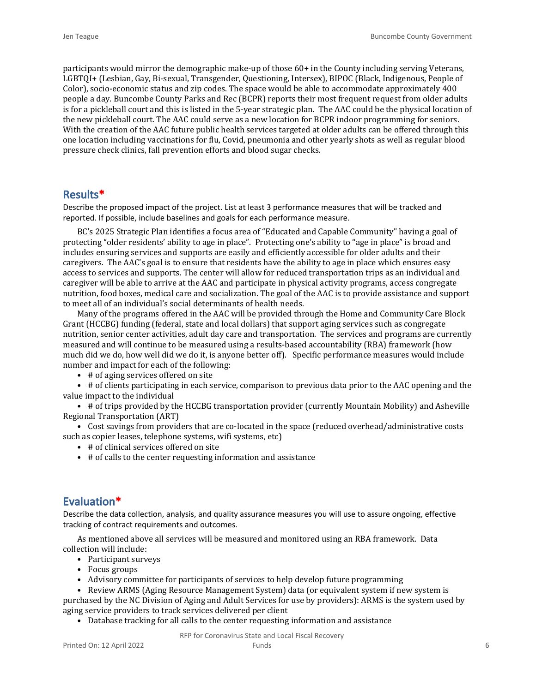participants would mirror the demographic make-up of those 60+ in the County including serving Veterans, LGBTQI+ (Lesbian, Gay, Bi-sexual, Transgender, Questioning, Intersex), BIPOC (Black, Indigenous, People of Color), socio-economic status and zip codes. The space would be able to accommodate approximately 400 people a day. Buncombe County Parks and Rec (BCPR) reports their most frequent request from older adults is for a pickleball court and this is listed in the 5-year strategic plan. The AAC could be the physical location of the new pickleball court. The AAC could serve as a new location for BCPR indoor programming for seniors. With the creation of the AAC future public health services targeted at older adults can be offered through this one location including vaccinations for flu, Covid, pneumonia and other yearly shots as well as regular blood pressure check clinics, fall prevention efforts and blood sugar checks.

#### **Results\***

Describe the proposed impact of the project. List at least 3 performance measures that will be tracked and reported. If possible, include baselines and goals for each performance measure.

BC's 2025 Strategic Plan identifies a focus area of "Educated and Capable Community" having a goal of protecting "older residents' ability to age in place". Protecting one's ability to "age in place" is broad and includes ensuring services and supports are easily and efficiently accessible for older adults and their caregivers. The AAC's goal is to ensure that residents have the ability to age in place which ensures easy access to services and supports. The center will allow for reduced transportation trips as an individual and caregiver will be able to arrive at the AAC and participate in physical activity programs, access congregate nutrition, food boxes, medical care and socialization. The goal of the AAC is to provide assistance and support to meet all of an individual's social determinants of health needs.

Many of the programs offered in the AAC will be provided through the Home and Community Care Block Grant (HCCBG) funding (federal, state and local dollars) that support aging services such as congregate nutrition, senior center activities, adult day care and transportation. The services and programs are currently measured and will continue to be measured using a results-based accountability (RBA) framework (how much did we do, how well did we do it, is anyone better off). Specific performance measures would include number and impact for each of the following:

• # of aging services offered on site

• # of clients participating in each service, comparison to previous data prior to the AAC opening and the value impact to the individual

• # of trips provided by the HCCBG transportation provider (currently Mountain Mobility) and Asheville Regional Transportation (ART)

• Cost savings from providers that are co-located in the space (reduced overhead/administrative costs such as copier leases, telephone systems, wifi systems, etc)

- # of clinical services offered on site
- # of calls to the center requesting information and assistance

#### **Evaluation\***

Describe the data collection, analysis, and quality assurance measures you will use to assure ongoing, effective tracking of contract requirements and outcomes.

As mentioned above all services will be measured and monitored using an RBA framework. Data collection will include:

- Participant surveys
- Focus groups
- Advisory committee for participants of services to help develop future programming

• Review ARMS (Aging Resource Management System) data (or equivalent system if new system is purchased by the NC Division of Aging and Adult Services for use by providers): ARMS is the system used by aging service providers to track services delivered per client

• Database tracking for all calls to the center requesting information and assistance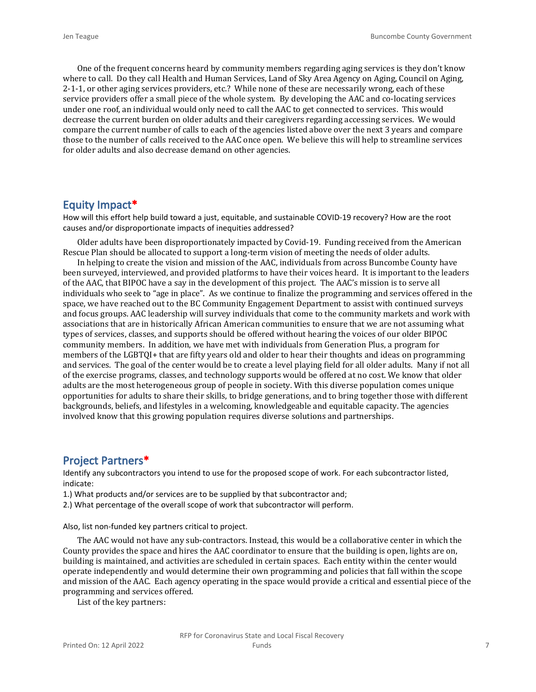One of the frequent concerns heard by community members regarding aging services is they don't know where to call. Do they call Health and Human Services, Land of Sky Area Agency on Aging, Council on Aging, 2-1-1, or other aging services providers, etc.? While none of these are necessarily wrong, each of these service providers offer a small piece of the whole system. By developing the AAC and co-locating services under one roof, an individual would only need to call the AAC to get connected to services. This would decrease the current burden on older adults and their caregivers regarding accessing services. We would compare the current number of calls to each of the agencies listed above over the next 3 years and compare those to the number of calls received to the AAC once open. We believe this will help to streamline services for older adults and also decrease demand on other agencies.

#### **Equity Impact\***

How will this effort help build toward a just, equitable, and sustainable COVID-19 recovery? How are the root causes and/or disproportionate impacts of inequities addressed?

Older adults have been disproportionately impacted by Covid-19. Funding received from the American Rescue Plan should be allocated to support a long-term vision of meeting the needs of older adults.

In helping to create the vision and mission of the AAC, individuals from across Buncombe County have been surveyed, interviewed, and provided platforms to have their voices heard. It is important to the leaders of the AAC, that BIPOC have a say in the development of this project. The AAC's mission is to serve all individuals who seek to "age in place". As we continue to finalize the programming and services offered in the space, we have reached out to the BC Community Engagement Department to assist with continued surveys and focus groups. AAC leadership will survey individuals that come to the community markets and work with associations that are in historically African American communities to ensure that we are not assuming what types of services, classes, and supports should be offered without hearing the voices of our older BIPOC community members. In addition, we have met with individuals from Generation Plus, a program for members of the LGBTQI+ that are fifty years old and older to hear their thoughts and ideas on programming and services. The goal of the center would be to create a level playing field for all older adults. Many if not all of the exercise programs, classes, and technology supports would be offered at no cost. We know that older adults are the most heterogeneous group of people in society. With this diverse population comes unique opportunities for adults to share their skills, to bridge generations, and to bring together those with different backgrounds, beliefs, and lifestyles in a welcoming, knowledgeable and equitable capacity. The agencies involved know that this growing population requires diverse solutions and partnerships.

#### **Project Partners\***

Identify any subcontractors you intend to use for the proposed scope of work. For each subcontractor listed, indicate:

1.) What products and/or services are to be supplied by that subcontractor and;

2.) What percentage of the overall scope of work that subcontractor will perform.

Also, list non-funded key partners critical to project.

The AAC would not have any sub-contractors. Instead, this would be a collaborative center in which the County provides the space and hires the AAC coordinator to ensure that the building is open, lights are on, building is maintained, and activities are scheduled in certain spaces. Each entity within the center would operate independently and would determine their own programming and policies that fall within the scope and mission of the AAC. Each agency operating in the space would provide a critical and essential piece of the programming and services offered.

List of the key partners: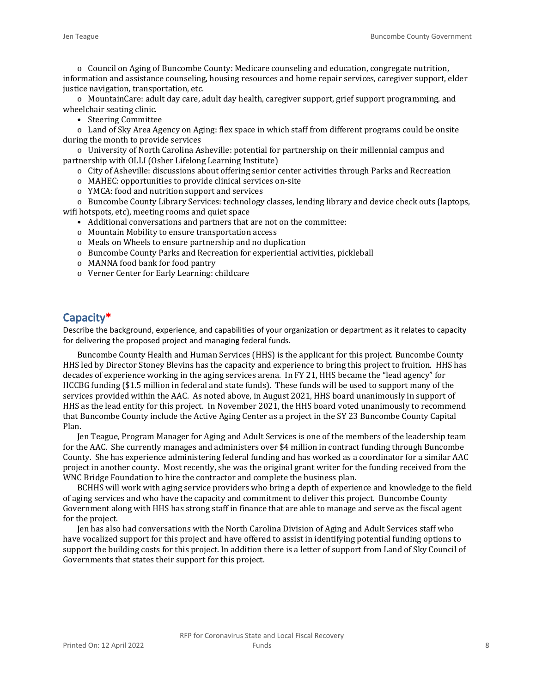o Council on Aging of Buncombe County: Medicare counseling and education, congregate nutrition, information and assistance counseling, housing resources and home repair services, caregiver support, elder justice navigation, transportation, etc.

o MountainCare: adult day care, adult day health, caregiver support, grief support programming, and wheelchair seating clinic.

• Steering Committee

o Land of Sky Area Agency on Aging: flex space in which staff from different programs could be onsite during the month to provide services

o University of North Carolina Asheville: potential for partnership on their millennial campus and partnership with OLLI (Osher Lifelong Learning Institute)

- o City of Asheville: discussions about offering senior center activities through Parks and Recreation
- o MAHEC: opportunities to provide clinical services on-site
- o YMCA: food and nutrition support and services

o Buncombe County Library Services: technology classes, lending library and device check outs (laptops, wifi hotspots, etc), meeting rooms and quiet space

- Additional conversations and partners that are not on the committee:
- o Mountain Mobility to ensure transportation access
- o Meals on Wheels to ensure partnership and no duplication
- o Buncombe County Parks and Recreation for experiential activities, pickleball
- o MANNA food bank for food pantry
- o Verner Center for Early Learning: childcare

#### **Capacity\***

Describe the background, experience, and capabilities of your organization or department as it relates to capacity for delivering the proposed project and managing federal funds.

Buncombe County Health and Human Services (HHS) is the applicant for this project. Buncombe County HHS led by Director Stoney Blevins has the capacity and experience to bring this project to fruition. HHS has decades of experience working in the aging services arena. In FY 21, HHS became the "lead agency" for HCCBG funding (\$1.5 million in federal and state funds). These funds will be used to support many of the services provided within the AAC. As noted above, in August 2021, HHS board unanimously in support of HHS as the lead entity for this project. In November 2021, the HHS board voted unanimously to recommend that Buncombe County include the Active Aging Center as a project in the SY 23 Buncombe County Capital Plan.

Jen Teague, Program Manager for Aging and Adult Services is one of the members of the leadership team for the AAC. She currently manages and administers over \$4 million in contract funding through Buncombe County. She has experience administering federal funding and has worked as a coordinator for a similar AAC project in another county. Most recently, she was the original grant writer for the funding received from the WNC Bridge Foundation to hire the contractor and complete the business plan.

BCHHS will work with aging service providers who bring a depth of experience and knowledge to the field of aging services and who have the capacity and commitment to deliver this project. Buncombe County Government along with HHS has strong staff in finance that are able to manage and serve as the fiscal agent for the project.

Jen has also had conversations with the North Carolina Division of Aging and Adult Services staff who have vocalized support for this project and have offered to assist in identifying potential funding options to support the building costs for this project. In addition there is a letter of support from Land of Sky Council of Governments that states their support for this project.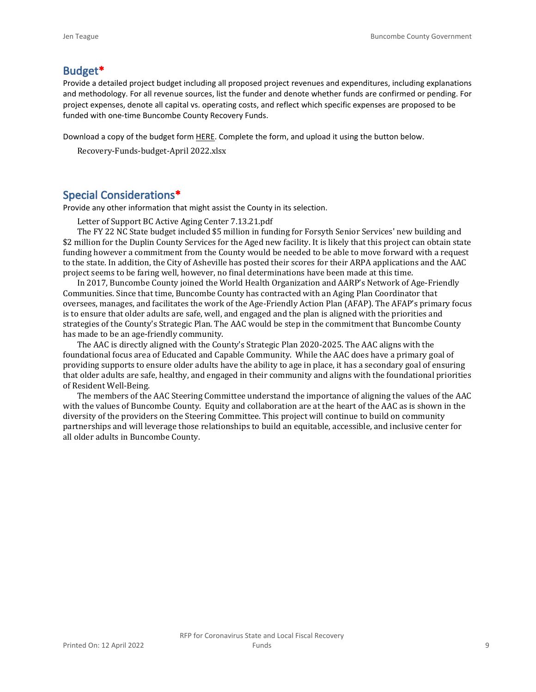#### **Budget\***

Provide a detailed project budget including all proposed project revenues and expenditures, including explanations and methodology. For all revenue sources, list the funder and denote whether funds are confirmed or pending. For project expenses, denote all capital vs. operating costs, and reflect which specific expenses are proposed to be funded with one-time Buncombe County Recovery Funds.

Download a copy of the budget form [HERE](https://buncombecounty.org/common/community-investment/grants/early-childhood-education/Recovery-Funds-budget-template.xlsx). Complete the form, and upload it using the button below.

Recovery-Funds-budget-April 2022.xlsx

#### **Special Considerations\***

Provide any other information that might assist the County in its selection.

Letter of Support BC Active Aging Center 7.13.21.pdf

The FY 22 NC State budget included \$5 million in funding for Forsyth Senior Services' new building and \$2 million for the Duplin County Services for the Aged new facility. It is likely that this project can obtain state funding however a commitment from the County would be needed to be able to move forward with a request to the state. In addition, the City of Asheville has posted their scores for their ARPA applications and the AAC project seems to be faring well, however, no final determinations have been made at this time.

In 2017, Buncombe County joined the World Health Organization and AARP's Network of Age-Friendly Communities. Since that time, Buncombe County has contracted with an Aging Plan Coordinator that oversees, manages, and facilitates the work of the Age-Friendly Action Plan (AFAP). The AFAP's primary focus is to ensure that older adults are safe, well, and engaged and the plan is aligned with the priorities and strategies of the County's Strategic Plan. The AAC would be step in the commitment that Buncombe County has made to be an age-friendly community.

The AAC is directly aligned with the County's Strategic Plan 2020-2025. The AAC aligns with the foundational focus area of Educated and Capable Community. While the AAC does have a primary goal of providing supports to ensure older adults have the ability to age in place, it has a secondary goal of ensuring that older adults are safe, healthy, and engaged in their community and aligns with the foundational priorities of Resident Well-Being.

The members of the AAC Steering Committee understand the importance of aligning the values of the AAC with the values of Buncombe County. Equity and collaboration are at the heart of the AAC as is shown in the diversity of the providers on the Steering Committee. This project will continue to build on community partnerships and will leverage those relationships to build an equitable, accessible, and inclusive center for all older adults in Buncombe County.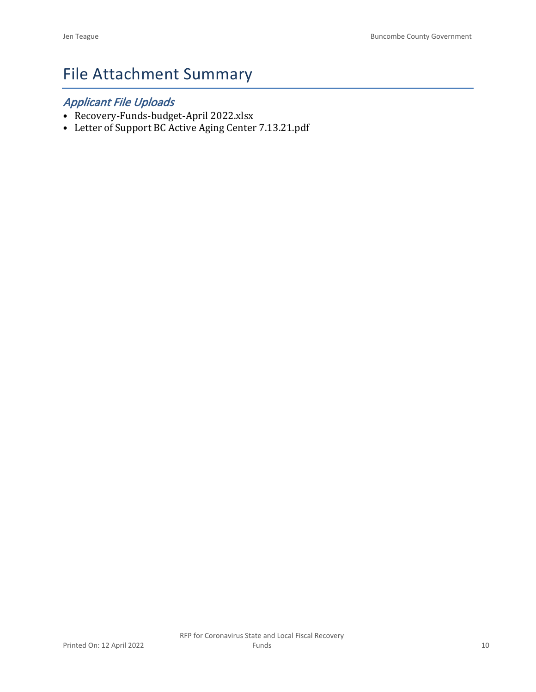# File Attachment Summary

## *Applicant File Uploads*

- Recovery-Funds-budget-April 2022.xlsx
- Letter of Support BC Active Aging Center 7.13.21.pdf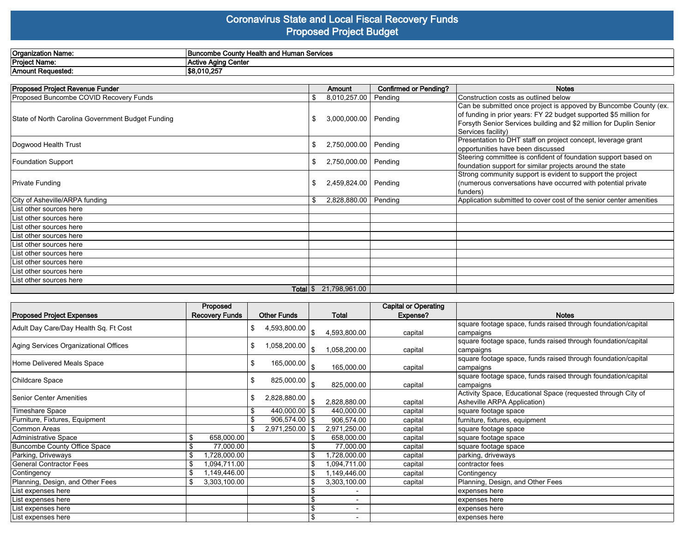#### **Coronavirus State and Local Fiscal Recovery Funds Proposed Project Budget**

| <b>Organization Name:</b> | ⊿ Human Services<br><b>Health and</b><br>≞ Hoolt.<br><b>Buncombe County</b> |
|---------------------------|-----------------------------------------------------------------------------|
| <b>Project Name:</b>      | sa Cantai<br>Aaina<br>vana<br>1 V C                                         |
| Amount<br>:Requested      | \$8.010.257                                                                 |

| Proposed Project Revenue Funder                   | <b>Amount</b>                 | <b>Confirmed or Pending?</b> | <b>Notes</b>                                                                                                                                                                                                                      |
|---------------------------------------------------|-------------------------------|------------------------------|-----------------------------------------------------------------------------------------------------------------------------------------------------------------------------------------------------------------------------------|
| Proposed Buncombe COVID Recovery Funds            | \$<br>8,010,257.00            | Pending                      | Construction costs as outlined below                                                                                                                                                                                              |
| State of North Carolina Government Budget Funding | 3,000,000.00                  | Pending                      | Can be submitted once project is appoved by Buncombe County (ex.<br>of funding in prior years: FY 22 budget supported \$5 million for<br>Forsyth Senior Services building and \$2 million for Duplin Senior<br>Services facility) |
| Dogwood Health Trust                              | \$<br>2,750,000.00 Pending    |                              | Presentation to DHT staff on project concept, leverage grant<br>opportunities have been discussed                                                                                                                                 |
| <b>Foundation Support</b>                         | \$<br>2,750,000.00 Pending    |                              | Steering committee is confident of foundation support based on<br>foundation support for similar projects around the state                                                                                                        |
| <b>Private Funding</b>                            | 2,459,824.00 Pending          |                              | Strong community support is evident to support the project<br>(numerous conversations have occurred with potential private<br>funders)                                                                                            |
| City of Asheville/ARPA funding                    | \$<br>2,828,880.00            | Pending                      | Application submitted to cover cost of the senior center amenities                                                                                                                                                                |
| List other sources here                           |                               |                              |                                                                                                                                                                                                                                   |
| List other sources here                           |                               |                              |                                                                                                                                                                                                                                   |
| List other sources here                           |                               |                              |                                                                                                                                                                                                                                   |
| List other sources here                           |                               |                              |                                                                                                                                                                                                                                   |
| List other sources here                           |                               |                              |                                                                                                                                                                                                                                   |
| List other sources here                           |                               |                              |                                                                                                                                                                                                                                   |
| List other sources here                           |                               |                              |                                                                                                                                                                                                                                   |
| List other sources here                           |                               |                              |                                                                                                                                                                                                                                   |
| List other sources here                           |                               |                              |                                                                                                                                                                                                                                   |
|                                                   | <b>Total</b> $$21,798,961.00$ |                              |                                                                                                                                                                                                                                   |

|                                       | Proposed                    |    |                                   |                          | <b>Capital or Operating</b> |                                                               |
|---------------------------------------|-----------------------------|----|-----------------------------------|--------------------------|-----------------------------|---------------------------------------------------------------|
| <b>Proposed Project Expenses</b>      | <b>Recovery Funds</b>       |    | <b>Other Funds</b>                | Total                    | Expense?                    | <b>Notes</b>                                                  |
| Adult Day Care/Day Health Sq. Ft Cost |                             | \$ | 4,593,800.00                      |                          |                             | square footage space, funds raised through foundation/capital |
|                                       |                             |    |                                   | 4,593,800.00             | capital                     | campaigns                                                     |
| Aging Services Organizational Offices |                             | \$ | $1,058,200.00$ $\frac{1}{\$}$     |                          |                             | square footage space, funds raised through foundation/capital |
|                                       |                             |    |                                   | 1,058,200.00             | capital                     | campaigns                                                     |
| Home Delivered Meals Space            |                             | \$ | 165,000.00 $_{\mid_{\mathbb{S}}}$ |                          |                             | square footage space, funds raised through foundation/capital |
|                                       |                             |    |                                   | 165,000.00               | capital                     | campaigns                                                     |
| Childcare Space                       |                             | \$ | 825,000.00 $\vert$ \$             |                          |                             | square footage space, funds raised through foundation/capital |
|                                       |                             |    |                                   | 825,000.00               | capital                     | campaigns                                                     |
| lSenior Center Amenities              |                             | \$ | $2,828,880.00$ $\frac{8}{3}$      |                          |                             | Activity Space, Educational Space (requested through City of  |
|                                       |                             |    |                                   | 2,828,880.00             | capital                     | Asheville ARPA Application)                                   |
| Timeshare Space                       |                             |    | 440,000.00   \$                   | 440,000.00               | capital                     | square footage space                                          |
| Furniture, Fixtures, Equipment        |                             |    | $906,574.00$ \$                   | 906,574.00               | capital                     | furniture, fixtures, equipment                                |
| Common Areas                          |                             |    | 2,971,250.00 \$                   | 2,971,250.00             | capital                     | square footage space                                          |
| Administrative Space                  | 658,000.00<br>\$            |    |                                   | 658,000.00               | capital                     | square footage space                                          |
| <b>Buncombe County Office Space</b>   | $\mathfrak{L}$<br>77,000.00 |    |                                   | 77,000.00                | capital                     | square footage space                                          |
| Parking, Driveways                    | \$<br>,728,000.00           |    |                                   | ,728,000.00              | capital                     | parking, driveways                                            |
| General Contractor Fees               | \$<br>1,094,711.00          |    |                                   | 1,094,711.00             | capital                     | contractor fees                                               |
| Contingency                           | \$<br>1,149,446.00          |    |                                   | 1,149,446.00             | capital                     | Contingency                                                   |
| Planning, Design, and Other Fees      | \$<br>3,303,100.00          |    |                                   | 3,303,100.00             | capital                     | Planning, Design, and Other Fees                              |
| List expenses here                    |                             |    |                                   |                          |                             | expenses here                                                 |
| List expenses here                    |                             |    |                                   | $\overline{\phantom{a}}$ |                             | expenses here                                                 |
| List expenses here                    |                             |    |                                   | $\overline{\phantom{a}}$ |                             | expenses here                                                 |
| List expenses here                    |                             |    |                                   |                          |                             | expenses here                                                 |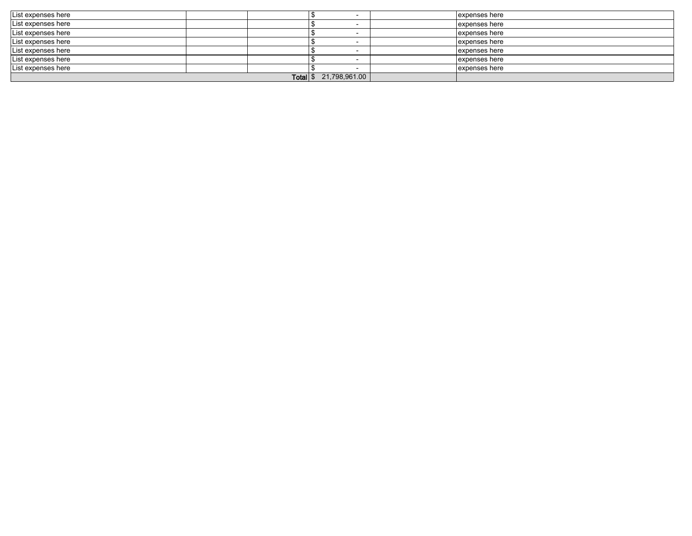| List expenses here |  |               |  | expenses here |
|--------------------|--|---------------|--|---------------|
| List expenses here |  |               |  | expenses here |
| List expenses here |  |               |  | expenses here |
| List expenses here |  |               |  | expenses here |
| List expenses here |  |               |  | expenses here |
| List expenses here |  |               |  | expenses here |
| List expenses here |  |               |  | expenses here |
|                    |  | 21,798,961.00 |  |               |